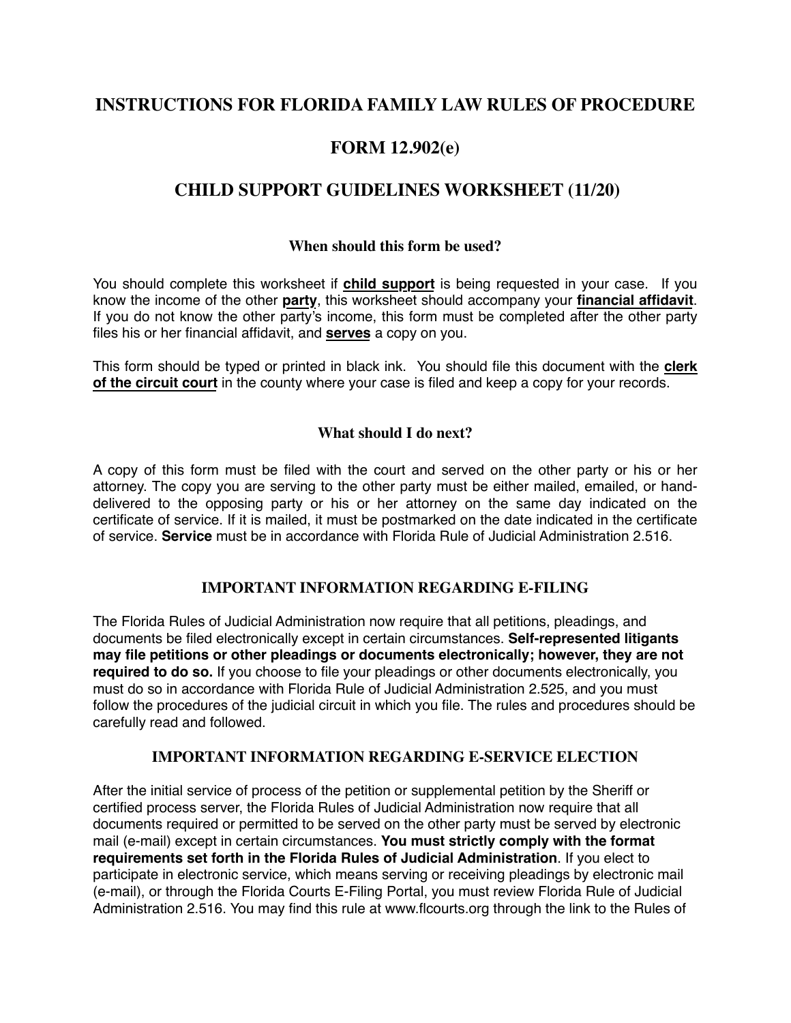## **INSTRUCTIONS FOR FLORIDA FAMILY LAW RULES OF PROCEDURE**

# **FORM 12.902(e)**

# **CHILD SUPPORT GUIDELINES WORKSHEET (11/20)**

#### **When should this form be used?**

You should complete this worksheet if **child support** is being requested in your case. If you know the income of the other **party**, this worksheet should accompany your **financial affidavit**. If you do not know the other party's income, this form must be completed after the other party files his or her financial affidavit, and **serves** a copy on you.

This form should be typed or printed in black ink. You should file this document with the **clerk of the circuit court** in the county where your case is filed and keep a copy for your records.

#### **What should I do next?**

A copy of this form must be filed with the court and served on the other party or his or her attorney. The copy you are serving to the other party must be either mailed, emailed, or handdelivered to the opposing party or his or her attorney on the same day indicated on the certificate of service. If it is mailed, it must be postmarked on the date indicated in the certificate of service. **Service** must be in accordance with Florida Rule of Judicial Administration 2.516.

#### **IMPORTANT INFORMATION REGARDING E-FILING**

The Florida Rules of Judicial Administration now require that all petitions, pleadings, and documents be filed electronically except in certain circumstances. **Self-represented litigants may file petitions or other pleadings or documents electronically; however, they are not required to do so.** If you choose to file your pleadings or other documents electronically, you must do so in accordance with Florida Rule of Judicial Administration 2.525, and you must follow the procedures of the judicial circuit in which you file. The rules and procedures should be carefully read and followed.

#### **IMPORTANT INFORMATION REGARDING E-SERVICE ELECTION**

After the initial service of process of the petition or supplemental petition by the Sheriff or certified process server, the Florida Rules of Judicial Administration now require that all documents required or permitted to be served on the other party must be served by electronic mail (e-mail) except in certain circumstances. **You must strictly comply with the format requirements set forth in the Florida Rules of Judicial Administration**. If you elect to participate in electronic service, which means serving or receiving pleadings by electronic mail (e-mail), or through the Florida Courts E-Filing Portal, you must review Florida Rule of Judicial Administration 2.516. You may find this rule at www.flcourts.org through the link to the Rules of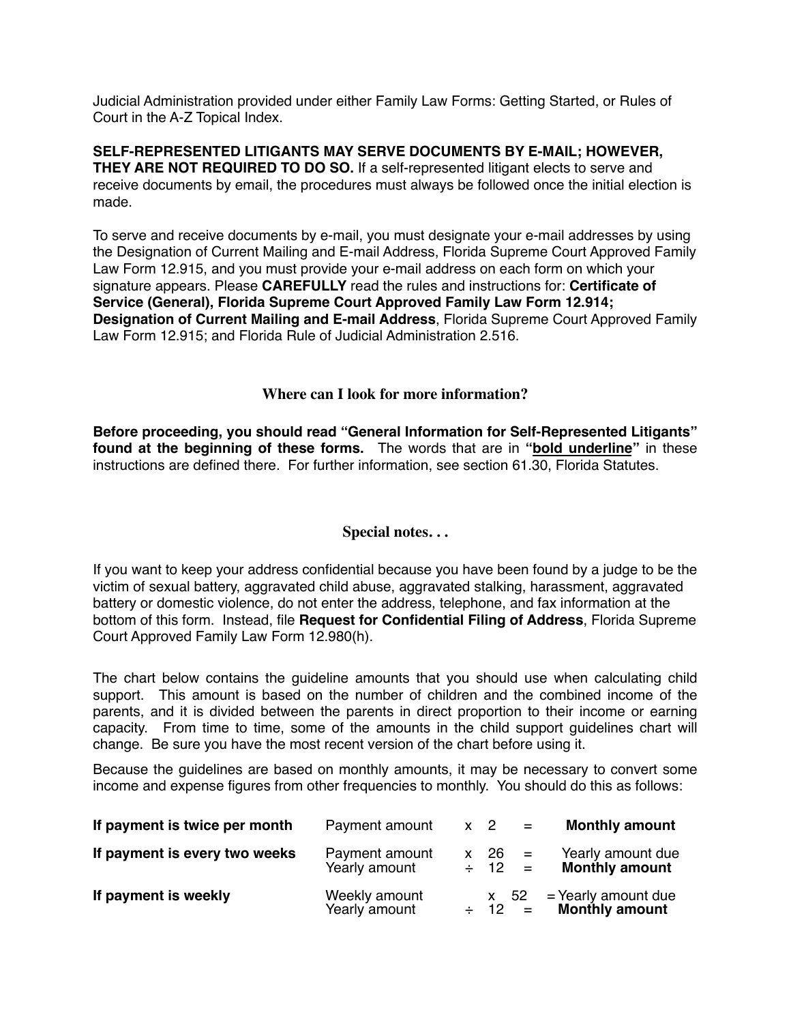Judicial Administration provided under either Family Law Forms: Getting Started, or Rules of Court in the A-Z Topical Index.

**SELF-REPRESENTED LITIGANTS MAY SERVE DOCUMENTS BY E-MAIL; HOWEVER, THEY ARE NOT REQUIRED TO DO SO.** If a self-represented litigant elects to serve and receive documents by email, the procedures must always be followed once the initial election is made.

To serve and receive documents by e-mail, you must designate your e-mail addresses by using the Designation of Current Mailing and E-mail Address, Florida Supreme Court Approved Family Law Form 12.915, and you must provide your e-mail address on each form on which your signature appears. Please **CAREFULLY** read the rules and instructions for: **Certificate of Service (General), Florida Supreme Court Approved Family Law Form 12.914; Designation of Current Mailing and E-mail Address**, Florida Supreme Court Approved Family Law Form 12.915; and Florida Rule of Judicial Administration 2.516.

#### **Where can I look for more information?**

**Before proceeding, you should read "General Information for Self-Represented Litigants" found at the beginning of these forms.** The words that are in **"bold underline"** in these instructions are defined there. For further information, see section 61.30, Florida Statutes.

#### **Special notes. . .**

If you want to keep your address confidential because you have been found by a judge to be the victim of sexual battery, aggravated child abuse, aggravated stalking, harassment, aggravated battery or domestic violence, do not enter the address, telephone, and fax information at the bottom of this form. Instead, file **Request for Confidential Filing of Address**, Florida Supreme Court Approved Family Law Form 12.980(h).

The chart below contains the guideline amounts that you should use when calculating child support. This amount is based on the number of children and the combined income of the parents, and it is divided between the parents in direct proportion to their income or earning capacity. From time to time, some of the amounts in the child support guidelines chart will change. Be sure you have the most recent version of the chart before using it.

Because the guidelines are based on monthly amounts, it may be necessary to convert some income and expense figures from other frequencies to monthly. You should do this as follows:

| If payment is twice per month | Payment amount                  | $x \quad 2$                 | $\alpha = 0$ | <b>Monthly amount</b>                        |
|-------------------------------|---------------------------------|-----------------------------|--------------|----------------------------------------------|
| If payment is every two weeks | Payment amount<br>Yearly amount | $x = 26 = 1$<br>$\div$ 12 = |              | Yearly amount due<br><b>Monthly amount</b>   |
| If payment is weekly          | Weekly amount<br>Yearly amount  | x 52<br>$\div$ 12 =         |              | = Yearly amount due<br><b>Monthly amount</b> |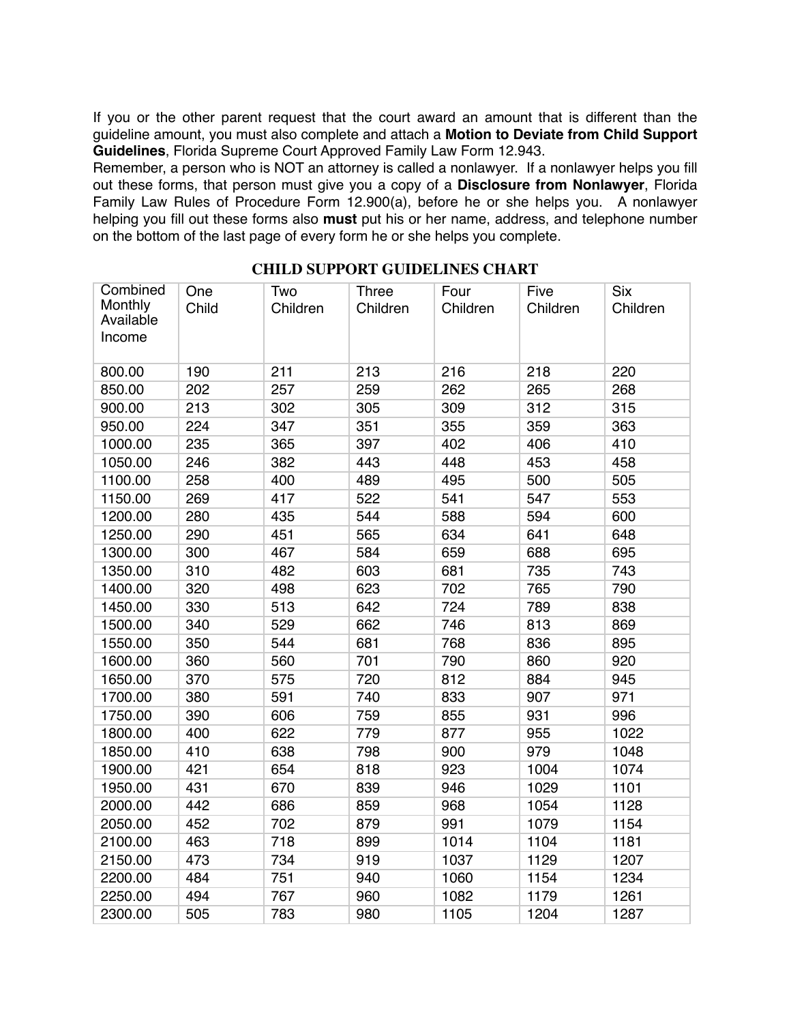If you or the other parent request that the court award an amount that is different than the guideline amount, you must also complete and attach a **Motion to Deviate from Child Support Guidelines**, Florida Supreme Court Approved Family Law Form 12.943.

Remember, a person who is NOT an attorney is called a nonlawyer. If a nonlawyer helps you fill out these forms, that person must give you a copy of a **Disclosure from Nonlawyer**, Florida Family Law Rules of Procedure Form 12.900(a), before he or she helps you. A nonlawyer helping you fill out these forms also **must** put his or her name, address, and telephone number on the bottom of the last page of every form he or she helps you complete.

| Combined             | One   | Two      | <b>Three</b> | Four     | Five     | <b>Six</b> |
|----------------------|-------|----------|--------------|----------|----------|------------|
| Monthly<br>Available | Child | Children | Children     | Children | Children | Children   |
| Income               |       |          |              |          |          |            |
|                      |       |          |              |          |          |            |
| 800.00               | 190   | 211      | 213          | 216      | 218      | 220        |
| 850.00               | 202   | 257      | 259          | 262      | 265      | 268        |
| 900.00               | 213   | 302      | 305          | 309      | 312      | 315        |
| 950.00               | 224   | 347      | 351          | 355      | 359      | 363        |
| 1000.00              | 235   | 365      | 397          | 402      | 406      | 410        |
| 1050.00              | 246   | 382      | 443          | 448      | 453      | 458        |
| 1100.00              | 258   | 400      | 489          | 495      | 500      | 505        |
| 1150.00              | 269   | 417      | 522          | 541      | 547      | 553        |
| 1200.00              | 280   | 435      | 544          | 588      | 594      | 600        |
| 1250.00              | 290   | 451      | 565          | 634      | 641      | 648        |
| 1300.00              | 300   | 467      | 584          | 659      | 688      | 695        |
| 1350.00              | 310   | 482      | 603          | 681      | 735      | 743        |
| 1400.00              | 320   | 498      | 623          | 702      | 765      | 790        |
| 1450.00              | 330   | 513      | 642          | 724      | 789      | 838        |
| 1500.00              | 340   | 529      | 662          | 746      | 813      | 869        |
| 1550.00              | 350   | 544      | 681          | 768      | 836      | 895        |
| 1600.00              | 360   | 560      | 701          | 790      | 860      | 920        |
| 1650.00              | 370   | 575      | 720          | 812      | 884      | 945        |
| 1700.00              | 380   | 591      | 740          | 833      | 907      | 971        |
| 1750.00              | 390   | 606      | 759          | 855      | 931      | 996        |
| 1800.00              | 400   | 622      | 779          | 877      | 955      | 1022       |
| 1850.00              | 410   | 638      | 798          | 900      | 979      | 1048       |
| 1900.00              | 421   | 654      | 818          | 923      | 1004     | 1074       |
| 1950.00              | 431   | 670      | 839          | 946      | 1029     | 1101       |
| 2000.00              | 442   | 686      | 859          | 968      | 1054     | 1128       |
| 2050.00              | 452   | 702      | 879          | 991      | 1079     | 1154       |
| 2100.00              | 463   | 718      | 899          | 1014     | 1104     | 1181       |
| 2150.00              | 473   | 734      | 919          | 1037     | 1129     | 1207       |
| 2200.00              | 484   | 751      | 940          | 1060     | 1154     | 1234       |
| 2250.00              | 494   | 767      | 960          | 1082     | 1179     | 1261       |
| 2300.00              | 505   | 783      | 980          | 1105     | 1204     | 1287       |

### **CHILD SUPPORT GUIDELINES CHART**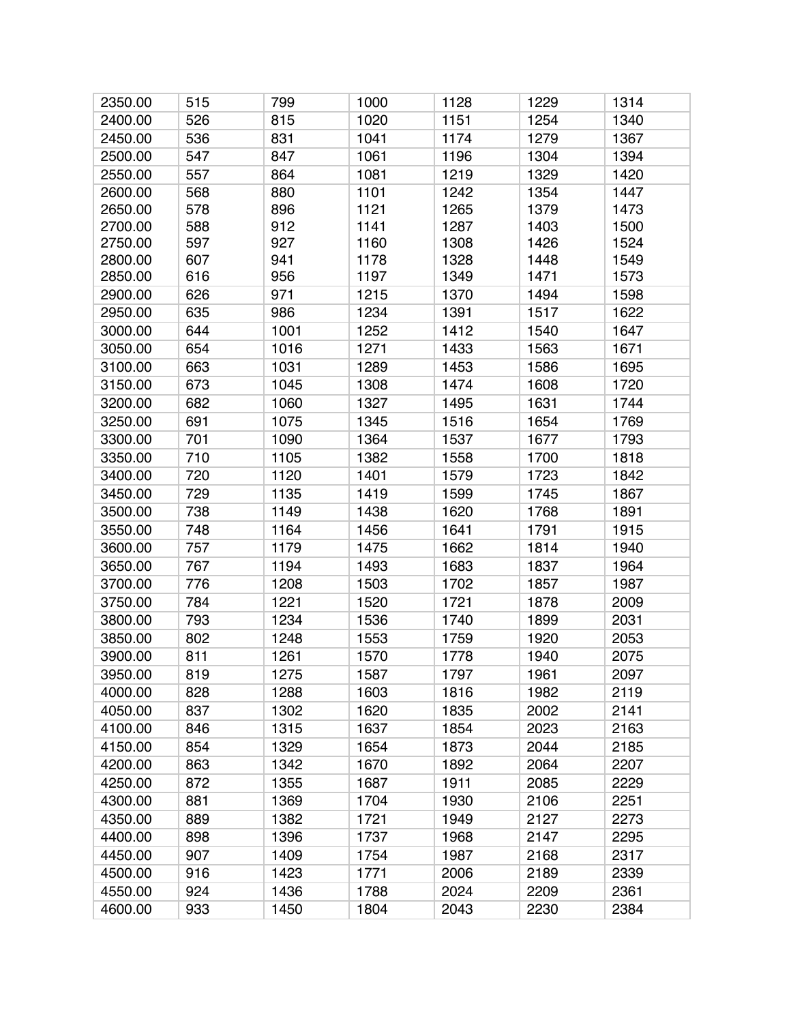| 2350.00 | 515 | 799  | 1000 | 1128 | 1229 | 1314 |
|---------|-----|------|------|------|------|------|
| 2400.00 | 526 | 815  | 1020 | 1151 | 1254 | 1340 |
| 2450.00 | 536 | 831  | 1041 | 1174 | 1279 | 1367 |
| 2500.00 | 547 | 847  | 1061 | 1196 | 1304 | 1394 |
| 2550.00 | 557 | 864  | 1081 | 1219 | 1329 | 1420 |
| 2600.00 | 568 | 880  | 1101 | 1242 | 1354 | 1447 |
| 2650.00 | 578 | 896  | 1121 | 1265 | 1379 | 1473 |
| 2700.00 | 588 | 912  | 1141 | 1287 | 1403 | 1500 |
| 2750.00 | 597 | 927  | 1160 | 1308 | 1426 | 1524 |
| 2800.00 | 607 | 941  | 1178 | 1328 | 1448 | 1549 |
| 2850.00 | 616 | 956  | 1197 | 1349 | 1471 | 1573 |
| 2900.00 | 626 | 971  | 1215 | 1370 | 1494 | 1598 |
| 2950.00 | 635 | 986  | 1234 | 1391 | 1517 | 1622 |
| 3000.00 | 644 | 1001 | 1252 | 1412 | 1540 | 1647 |
| 3050.00 | 654 | 1016 | 1271 | 1433 | 1563 | 1671 |
| 3100.00 | 663 | 1031 | 1289 | 1453 | 1586 | 1695 |
| 3150.00 | 673 | 1045 | 1308 | 1474 | 1608 | 1720 |
| 3200.00 | 682 | 1060 | 1327 | 1495 | 1631 | 1744 |
| 3250.00 | 691 | 1075 | 1345 | 1516 | 1654 | 1769 |
| 3300.00 | 701 | 1090 | 1364 | 1537 | 1677 | 1793 |
| 3350.00 | 710 | 1105 | 1382 | 1558 | 1700 | 1818 |
| 3400.00 | 720 | 1120 | 1401 | 1579 | 1723 | 1842 |
| 3450.00 | 729 | 1135 | 1419 | 1599 | 1745 | 1867 |
| 3500.00 | 738 | 1149 | 1438 | 1620 | 1768 | 1891 |
| 3550.00 | 748 | 1164 | 1456 | 1641 | 1791 | 1915 |
| 3600.00 | 757 | 1179 | 1475 | 1662 | 1814 | 1940 |
| 3650.00 | 767 | 1194 | 1493 | 1683 | 1837 | 1964 |
| 3700.00 | 776 | 1208 | 1503 | 1702 | 1857 | 1987 |
| 3750.00 | 784 | 1221 | 1520 | 1721 | 1878 | 2009 |
| 3800.00 | 793 | 1234 | 1536 | 1740 | 1899 | 2031 |
| 3850.00 | 802 | 1248 | 1553 | 1759 | 1920 | 2053 |
| 3900.00 | 811 | 1261 | 1570 | 1778 | 1940 | 2075 |
| 3950.00 | 819 | 1275 | 1587 | 1797 | 1961 | 2097 |
| 4000.00 | 828 | 1288 | 1603 | 1816 | 1982 | 2119 |
| 4050.00 | 837 | 1302 | 1620 | 1835 | 2002 | 2141 |
| 4100.00 | 846 | 1315 | 1637 | 1854 | 2023 | 2163 |
| 4150.00 | 854 | 1329 | 1654 | 1873 | 2044 | 2185 |
| 4200.00 | 863 | 1342 | 1670 | 1892 | 2064 | 2207 |
| 4250.00 | 872 | 1355 | 1687 | 1911 | 2085 | 2229 |
| 4300.00 | 881 | 1369 | 1704 | 1930 | 2106 | 2251 |
| 4350.00 | 889 | 1382 | 1721 | 1949 | 2127 | 2273 |
| 4400.00 | 898 | 1396 | 1737 | 1968 | 2147 | 2295 |
| 4450.00 | 907 | 1409 | 1754 | 1987 | 2168 | 2317 |
| 4500.00 | 916 | 1423 | 1771 | 2006 | 2189 | 2339 |
| 4550.00 | 924 | 1436 | 1788 | 2024 | 2209 | 2361 |
| 4600.00 | 933 | 1450 | 1804 | 2043 | 2230 | 2384 |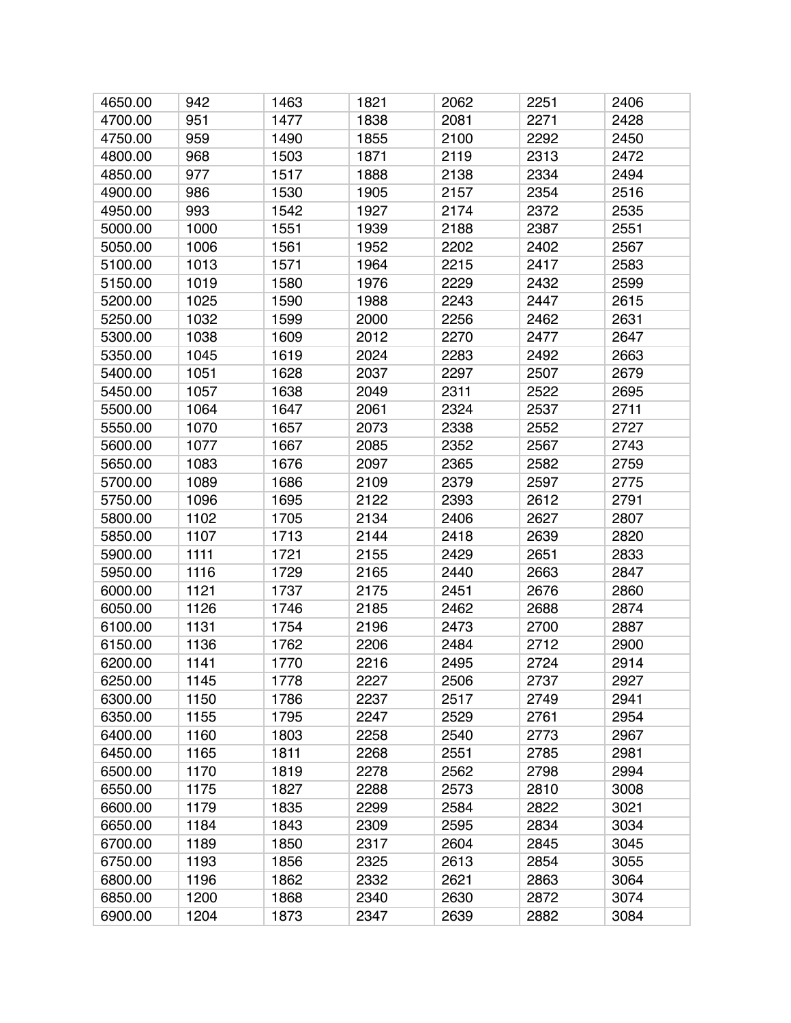| 4650.00 | 942  | 1463 | 1821 | 2062 | 2251 | 2406 |
|---------|------|------|------|------|------|------|
| 4700.00 | 951  | 1477 | 1838 | 2081 | 2271 | 2428 |
| 4750.00 | 959  | 1490 | 1855 | 2100 | 2292 | 2450 |
| 4800.00 | 968  | 1503 | 1871 | 2119 | 2313 | 2472 |
| 4850.00 | 977  | 1517 | 1888 | 2138 | 2334 | 2494 |
| 4900.00 | 986  | 1530 | 1905 | 2157 | 2354 | 2516 |
| 4950.00 | 993  | 1542 | 1927 | 2174 | 2372 | 2535 |
| 5000.00 | 1000 | 1551 | 1939 | 2188 | 2387 | 2551 |
| 5050.00 | 1006 | 1561 | 1952 | 2202 | 2402 | 2567 |
| 5100.00 | 1013 | 1571 | 1964 | 2215 | 2417 | 2583 |
| 5150.00 | 1019 | 1580 | 1976 | 2229 | 2432 | 2599 |
| 5200.00 | 1025 | 1590 | 1988 | 2243 | 2447 | 2615 |
| 5250.00 | 1032 | 1599 | 2000 | 2256 | 2462 | 2631 |
| 5300.00 | 1038 | 1609 | 2012 | 2270 | 2477 | 2647 |
| 5350.00 | 1045 | 1619 | 2024 | 2283 | 2492 | 2663 |
| 5400.00 | 1051 | 1628 | 2037 | 2297 | 2507 | 2679 |
| 5450.00 | 1057 | 1638 | 2049 | 2311 | 2522 | 2695 |
| 5500.00 | 1064 | 1647 | 2061 | 2324 | 2537 | 2711 |
| 5550.00 | 1070 | 1657 | 2073 | 2338 | 2552 | 2727 |
| 5600.00 | 1077 | 1667 | 2085 | 2352 | 2567 | 2743 |
| 5650.00 | 1083 | 1676 | 2097 | 2365 | 2582 | 2759 |
| 5700.00 | 1089 | 1686 | 2109 | 2379 | 2597 | 2775 |
| 5750.00 | 1096 | 1695 | 2122 | 2393 | 2612 | 2791 |
| 5800.00 | 1102 | 1705 | 2134 | 2406 | 2627 | 2807 |
| 5850.00 | 1107 | 1713 | 2144 | 2418 | 2639 | 2820 |
| 5900.00 | 1111 | 1721 | 2155 | 2429 | 2651 | 2833 |
| 5950.00 | 1116 | 1729 | 2165 | 2440 | 2663 | 2847 |
| 6000.00 | 1121 | 1737 | 2175 | 2451 | 2676 | 2860 |
| 6050.00 | 1126 | 1746 | 2185 | 2462 | 2688 | 2874 |
| 6100.00 | 1131 | 1754 | 2196 | 2473 | 2700 | 2887 |
| 6150.00 | 1136 | 1762 | 2206 | 2484 | 2712 | 2900 |
| 6200.00 | 1141 | 1770 | 2216 | 2495 | 2724 | 2914 |
| 6250.00 | 1145 | 1778 | 2227 | 2506 | 2737 | 2927 |
| 6300.00 | 1150 | 1786 | 2237 | 2517 | 2749 | 2941 |
| 6350.00 | 1155 | 1795 | 2247 | 2529 | 2761 | 2954 |
| 6400.00 | 1160 | 1803 | 2258 | 2540 | 2773 | 2967 |
| 6450.00 | 1165 | 1811 | 2268 | 2551 | 2785 | 2981 |
| 6500.00 | 1170 | 1819 | 2278 | 2562 | 2798 | 2994 |
| 6550.00 | 1175 | 1827 | 2288 | 2573 | 2810 | 3008 |
| 6600.00 | 1179 | 1835 | 2299 | 2584 | 2822 | 3021 |
| 6650.00 | 1184 | 1843 | 2309 | 2595 | 2834 | 3034 |
| 6700.00 | 1189 | 1850 | 2317 | 2604 | 2845 | 3045 |
| 6750.00 | 1193 | 1856 | 2325 | 2613 | 2854 | 3055 |
| 6800.00 | 1196 | 1862 | 2332 | 2621 | 2863 | 3064 |
| 6850.00 | 1200 | 1868 | 2340 | 2630 | 2872 | 3074 |
| 6900.00 | 1204 | 1873 | 2347 | 2639 | 2882 | 3084 |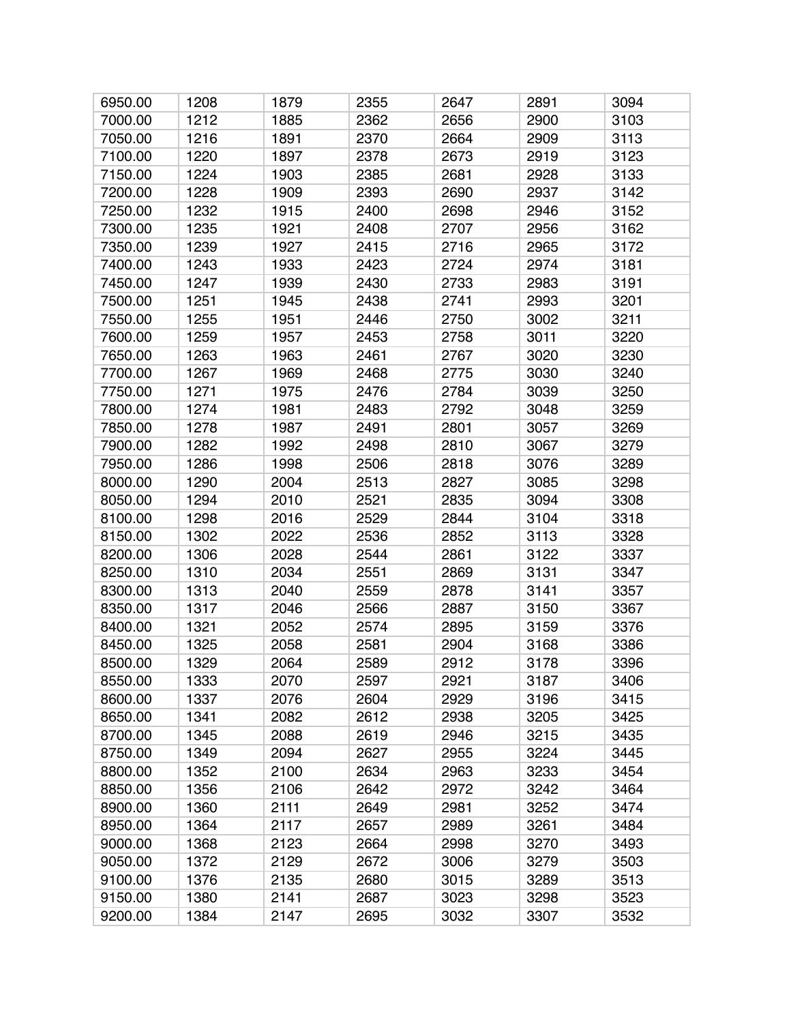| 6950.00 | 1208 | 1879 | 2355 | 2647 | 2891 | 3094 |
|---------|------|------|------|------|------|------|
| 7000.00 | 1212 | 1885 | 2362 | 2656 | 2900 | 3103 |
| 7050.00 | 1216 | 1891 | 2370 | 2664 | 2909 | 3113 |
| 7100.00 | 1220 | 1897 | 2378 | 2673 | 2919 | 3123 |
| 7150.00 | 1224 | 1903 | 2385 | 2681 | 2928 | 3133 |
| 7200.00 | 1228 | 1909 | 2393 | 2690 | 2937 | 3142 |
| 7250.00 | 1232 | 1915 | 2400 | 2698 | 2946 | 3152 |
| 7300.00 | 1235 | 1921 | 2408 | 2707 | 2956 | 3162 |
| 7350.00 | 1239 | 1927 | 2415 | 2716 | 2965 | 3172 |
| 7400.00 | 1243 | 1933 | 2423 | 2724 | 2974 | 3181 |
| 7450.00 | 1247 | 1939 | 2430 | 2733 | 2983 | 3191 |
| 7500.00 | 1251 | 1945 | 2438 | 2741 | 2993 | 3201 |
| 7550.00 | 1255 | 1951 | 2446 | 2750 | 3002 | 3211 |
| 7600.00 | 1259 | 1957 | 2453 | 2758 | 3011 | 3220 |
| 7650.00 | 1263 | 1963 | 2461 | 2767 | 3020 | 3230 |
| 7700.00 | 1267 | 1969 | 2468 | 2775 | 3030 | 3240 |
| 7750.00 | 1271 | 1975 | 2476 | 2784 | 3039 | 3250 |
| 7800.00 | 1274 | 1981 | 2483 | 2792 | 3048 | 3259 |
| 7850.00 | 1278 | 1987 | 2491 | 2801 | 3057 | 3269 |
| 7900.00 | 1282 | 1992 | 2498 | 2810 | 3067 | 3279 |
| 7950.00 | 1286 | 1998 | 2506 | 2818 | 3076 | 3289 |
| 8000.00 | 1290 | 2004 | 2513 | 2827 | 3085 | 3298 |
| 8050.00 | 1294 | 2010 | 2521 | 2835 | 3094 | 3308 |
| 8100.00 | 1298 | 2016 | 2529 | 2844 | 3104 | 3318 |
| 8150.00 | 1302 | 2022 | 2536 | 2852 | 3113 | 3328 |
| 8200.00 | 1306 | 2028 | 2544 | 2861 | 3122 | 3337 |
| 8250.00 | 1310 | 2034 | 2551 | 2869 | 3131 | 3347 |
| 8300.00 | 1313 | 2040 | 2559 | 2878 | 3141 | 3357 |
| 8350.00 | 1317 | 2046 | 2566 | 2887 | 3150 | 3367 |
| 8400.00 | 1321 | 2052 | 2574 | 2895 | 3159 | 3376 |
| 8450.00 | 1325 | 2058 | 2581 | 2904 | 3168 | 3386 |
| 8500.00 | 1329 | 2064 | 2589 | 2912 | 3178 | 3396 |
| 8550.00 | 1333 | 2070 | 2597 | 2921 | 3187 | 3406 |
| 8600.00 | 1337 | 2076 | 2604 | 2929 | 3196 | 3415 |
| 8650.00 | 1341 | 2082 | 2612 | 2938 | 3205 | 3425 |
| 8700.00 | 1345 | 2088 | 2619 | 2946 | 3215 | 3435 |
| 8750.00 | 1349 | 2094 | 2627 | 2955 | 3224 | 3445 |
| 8800.00 | 1352 | 2100 | 2634 | 2963 | 3233 | 3454 |
| 8850.00 | 1356 | 2106 | 2642 | 2972 | 3242 | 3464 |
| 8900.00 | 1360 | 2111 | 2649 | 2981 | 3252 | 3474 |
| 8950.00 | 1364 | 2117 | 2657 | 2989 | 3261 | 3484 |
| 9000.00 | 1368 | 2123 | 2664 | 2998 | 3270 | 3493 |
| 9050.00 | 1372 | 2129 | 2672 | 3006 | 3279 | 3503 |
| 9100.00 | 1376 | 2135 | 2680 | 3015 | 3289 | 3513 |
| 9150.00 | 1380 | 2141 | 2687 | 3023 | 3298 | 3523 |
| 9200.00 | 1384 | 2147 | 2695 | 3032 | 3307 | 3532 |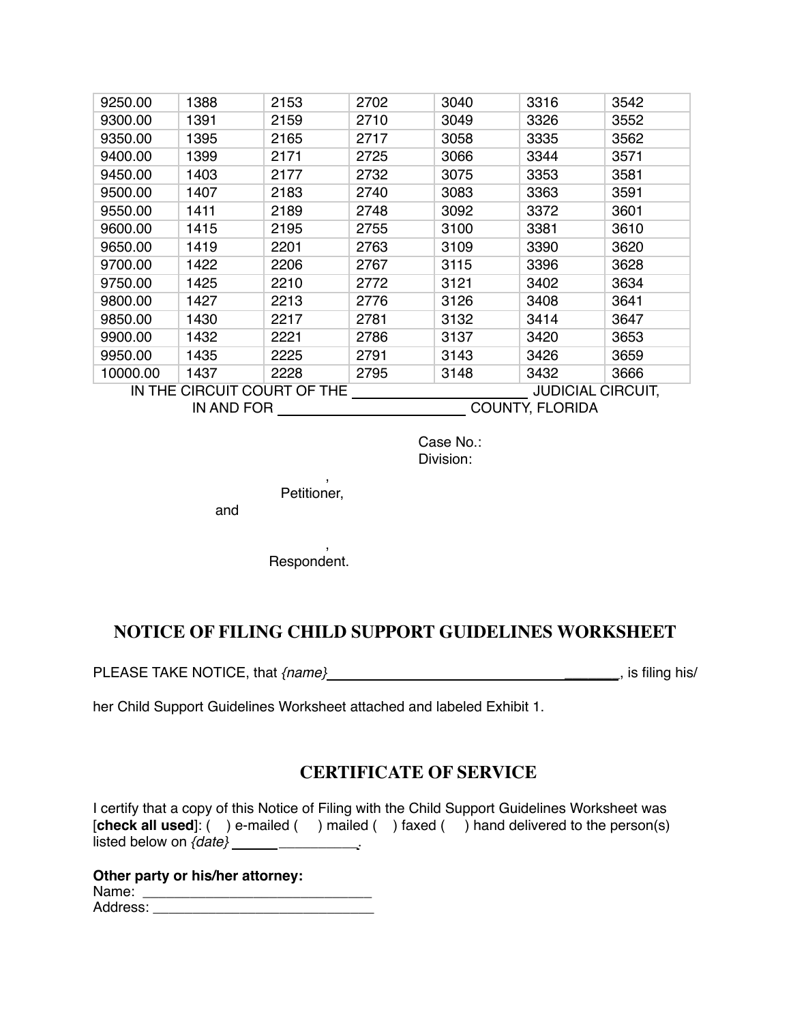| 9250.00  | 1388                        | 2153                                 | 2702 | 3040 | 3316                     | 3542 |
|----------|-----------------------------|--------------------------------------|------|------|--------------------------|------|
| 9300.00  | 1391                        | 2159                                 | 2710 | 3049 | 3326                     | 3552 |
| 9350.00  | 1395                        | 2165                                 | 2717 | 3058 | 3335                     | 3562 |
| 9400.00  | 1399                        | 2171                                 | 2725 | 3066 | 3344                     | 3571 |
|          | 1403                        |                                      | 2732 |      | 3353                     | 3581 |
| 9450.00  |                             | 2177                                 |      | 3075 |                          |      |
| 9500.00  | 1407                        | 2183                                 | 2740 | 3083 | 3363                     | 3591 |
| 9550.00  | 1411                        | 2189                                 | 2748 | 3092 | 3372                     | 3601 |
| 9600.00  | 1415                        | 2195                                 | 2755 | 3100 | 3381                     | 3610 |
| 9650.00  | 1419                        | 2201                                 | 2763 | 3109 | 3390                     | 3620 |
| 9700.00  | 1422                        | 2206                                 | 2767 | 3115 | 3396                     | 3628 |
| 9750.00  | 1425                        | 2210                                 | 2772 | 3121 | 3402                     | 3634 |
| 9800.00  | 1427                        | 2213                                 | 2776 | 3126 | 3408                     | 3641 |
| 9850.00  | 1430                        | 2217                                 | 2781 | 3132 | 3414                     | 3647 |
| 9900.00  | 1432                        | 2221                                 | 2786 | 3137 | 3420                     | 3653 |
| 9950.00  | 1435                        | 2225                                 | 2791 | 3143 | 3426                     | 3659 |
| 10000.00 | 1437                        | 2228                                 | 2795 | 3148 | 3432                     | 3666 |
|          | IN THE CIRCUIT COURT OF THE |                                      |      |      | <b>JUDICIAL CIRCUIT,</b> |      |
|          |                             | <b>COUNTY, FLORIDA</b><br>IN AND FOR |      |      |                          |      |

Case No.: Division:

Petitioner,

,

and

, Respondent.

## **NOTICE OF FILING CHILD SUPPORT GUIDELINES WORKSHEET**

PLEASE TAKE NOTICE, that *{name}* \_\_\_\_\_\_\_, is filing his/

her Child Support Guidelines Worksheet attached and labeled Exhibit 1.

## **CERTIFICATE OF SERVICE**

I certify that a copy of this Notice of Filing with the Child Support Guidelines Worksheet was [**check all used**]: ( ) e-mailed ( ) mailed ( ) faxed ( ) hand delivered to the person(s) listed below on *{date}* \_\_\_\_\_\_\_\_\_\_\_\_\_\_\_\_.

|          | Other party or his/her attorney: |
|----------|----------------------------------|
| Name:    |                                  |
| Address: |                                  |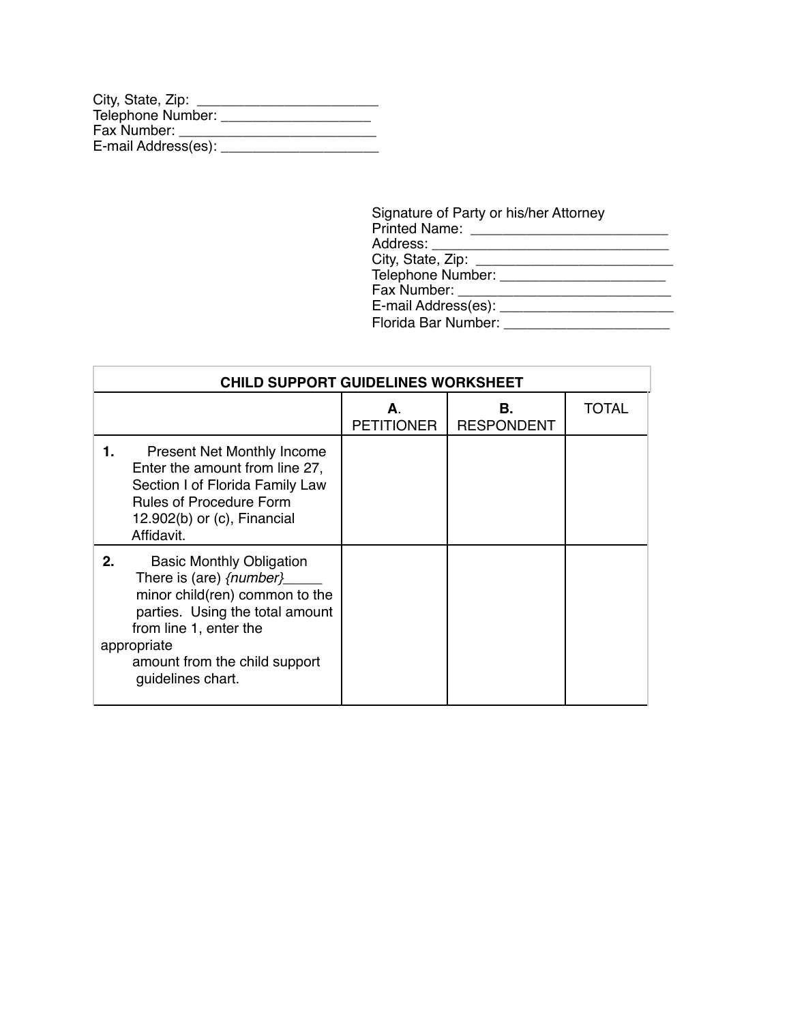| City, State, Zip:   |  |
|---------------------|--|
| Telephone Number:   |  |
| Fax Number:         |  |
| E-mail Address(es): |  |

| Signature of Party or his/her Attorney                                                                                                                                                                                         |  |
|--------------------------------------------------------------------------------------------------------------------------------------------------------------------------------------------------------------------------------|--|
| Address: _________________________                                                                                                                                                                                             |  |
|                                                                                                                                                                                                                                |  |
|                                                                                                                                                                                                                                |  |
| Fax Number: _______________                                                                                                                                                                                                    |  |
| E-mail Address(es): [2001] [2012] [2012] [2012] [2012] [2012] [2012] [2012] [2012] [2012] [2012] [2012] [2012] [2012] [2012] [2012] [2012] [2012] [2012] [2012] [2012] [2012] [2012] [2012] [2012] [2012] [2012] [2012] [2012] |  |
| Florida Bar Number: The Contract of the Second State of the Second State of the Second State of the Second State of the Second State of the Second State of the Second State of the Second State of the Second State of the Se |  |
|                                                                                                                                                                                                                                |  |

| <b>CHILD SUPPORT GUIDELINES WORKSHEET</b>                                                                                                                                                                                            |                        |                         |       |  |  |  |
|--------------------------------------------------------------------------------------------------------------------------------------------------------------------------------------------------------------------------------------|------------------------|-------------------------|-------|--|--|--|
|                                                                                                                                                                                                                                      | A<br><b>PETITIONER</b> | В.<br><b>RESPONDENT</b> | TOTAL |  |  |  |
| <b>Present Net Monthly Income</b><br>1.<br>Enter the amount from line 27,<br>Section I of Florida Family Law<br><b>Rules of Procedure Form</b><br>$12.902(b)$ or (c), Financial<br>Affidavit.                                        |                        |                         |       |  |  |  |
| 2.<br><b>Basic Monthly Obligation</b><br>There is (are) {number}<br>minor child(ren) common to the<br>parties. Using the total amount<br>from line 1, enter the<br>appropriate<br>amount from the child support<br>guidelines chart. |                        |                         |       |  |  |  |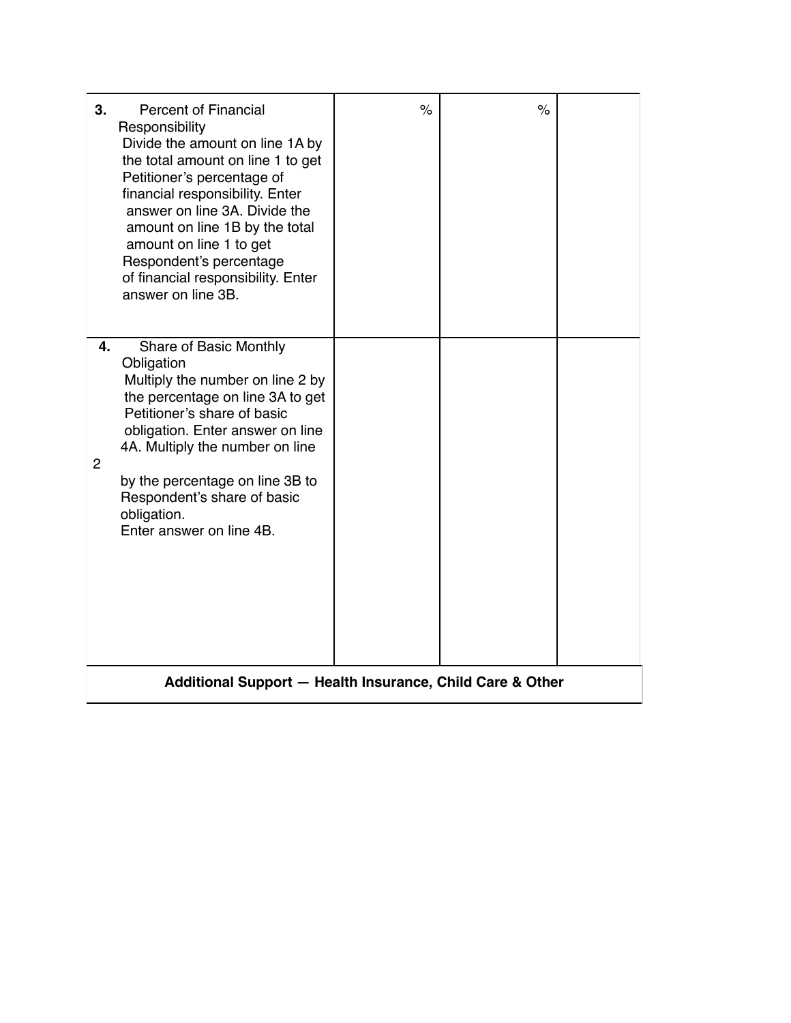| 3.      | <b>Percent of Financial</b><br>Responsibility<br>Divide the amount on line 1A by<br>the total amount on line 1 to get<br>Petitioner's percentage of<br>financial responsibility. Enter<br>answer on line 3A. Divide the<br>amount on line 1B by the total<br>amount on line 1 to get<br>Respondent's percentage<br>of financial responsibility. Enter<br>answer on line 3B. | $\frac{1}{\sqrt{2}}$ | $\%$ |  |  |  |  |
|---------|-----------------------------------------------------------------------------------------------------------------------------------------------------------------------------------------------------------------------------------------------------------------------------------------------------------------------------------------------------------------------------|----------------------|------|--|--|--|--|
| 4.<br>2 | Share of Basic Monthly<br>Obligation<br>Multiply the number on line 2 by<br>the percentage on line 3A to get<br>Petitioner's share of basic<br>obligation. Enter answer on line<br>4A. Multiply the number on line<br>by the percentage on line 3B to<br>Respondent's share of basic<br>obligation.<br>Enter answer on line 4B.                                             |                      |      |  |  |  |  |
|         | Additional Support - Health Insurance, Child Care & Other                                                                                                                                                                                                                                                                                                                   |                      |      |  |  |  |  |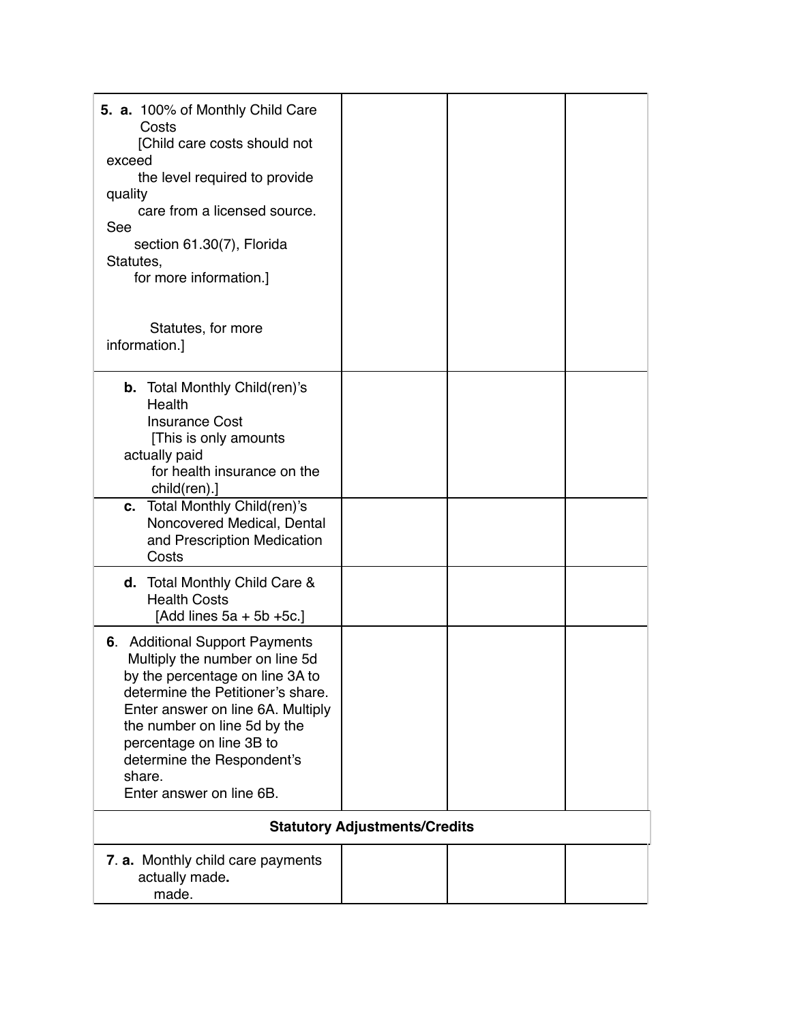| 5. a. 100% of Monthly Child Care<br>Costs<br>[Child care costs should not<br>exceed<br>the level required to provide<br>quality<br>care from a licensed source.<br>See<br>section 61.30(7), Florida<br>Statutes,<br>for more information.]                                                                    |                                      |  |
|---------------------------------------------------------------------------------------------------------------------------------------------------------------------------------------------------------------------------------------------------------------------------------------------------------------|--------------------------------------|--|
| Statutes, for more<br>information.]                                                                                                                                                                                                                                                                           |                                      |  |
| <b>b.</b> Total Monthly Child(ren)'s<br>Health<br><b>Insurance Cost</b><br>[This is only amounts]<br>actually paid<br>for health insurance on the<br>$child(ren).$ ]<br>c. Total Monthly Child(ren)'s                                                                                                         |                                      |  |
| Noncovered Medical, Dental<br>and Prescription Medication<br>Costs                                                                                                                                                                                                                                            |                                      |  |
| <b>d.</b> Total Monthly Child Care &<br><b>Health Costs</b><br>[Add lines $5a + 5b + 5c$ .]                                                                                                                                                                                                                   |                                      |  |
| 6. Additional Support Payments<br>Multiply the number on line 5d<br>by the percentage on line 3A to<br>determine the Petitioner's share.<br>Enter answer on line 6A. Multiply<br>the number on line 5d by the<br>percentage on line 3B to<br>determine the Respondent's<br>share.<br>Enter answer on line 6B. |                                      |  |
|                                                                                                                                                                                                                                                                                                               | <b>Statutory Adjustments/Credits</b> |  |
| 7. a. Monthly child care payments<br>actually made.<br>made.                                                                                                                                                                                                                                                  |                                      |  |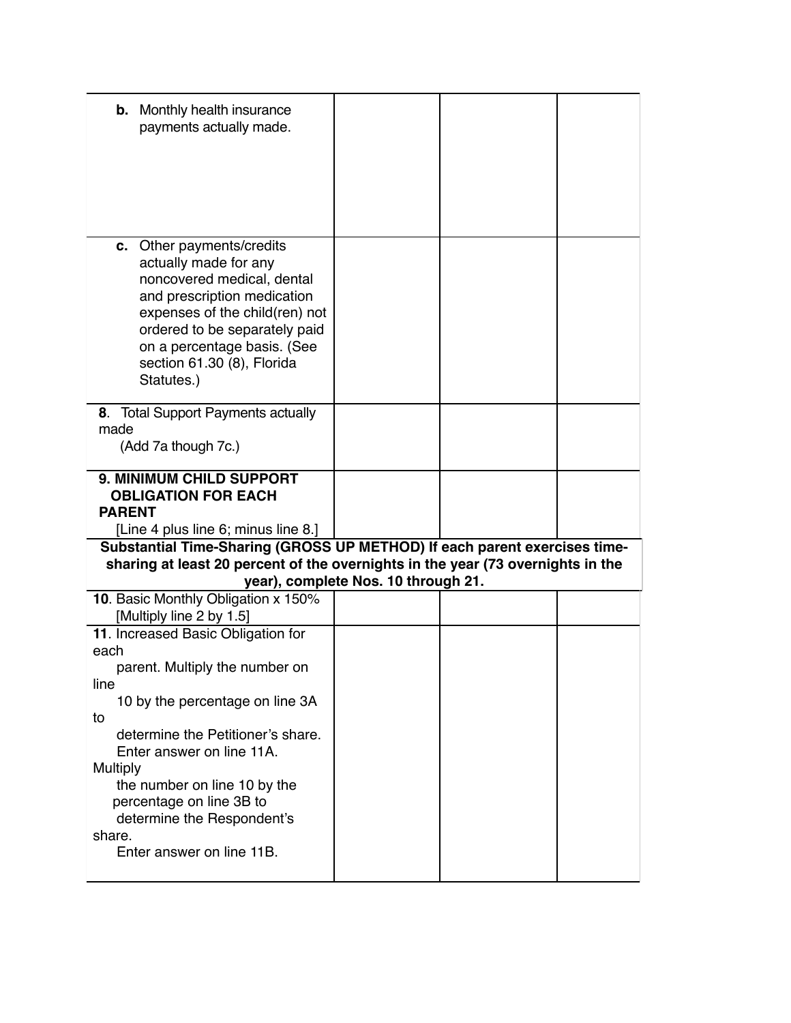| <b>b.</b> Monthly health insurance<br>payments actually made.                                                                                                                                                                                                                                                                                       |  |  |  |
|-----------------------------------------------------------------------------------------------------------------------------------------------------------------------------------------------------------------------------------------------------------------------------------------------------------------------------------------------------|--|--|--|
| c. Other payments/credits<br>actually made for any<br>noncovered medical, dental<br>and prescription medication<br>expenses of the child(ren) not<br>ordered to be separately paid<br>on a percentage basis. (See<br>section 61.30 (8), Florida<br>Statutes.)                                                                                       |  |  |  |
| 8. Total Support Payments actually<br>made<br>(Add 7a though 7c.)                                                                                                                                                                                                                                                                                   |  |  |  |
| <b>9. MINIMUM CHILD SUPPORT</b><br><b>OBLIGATION FOR EACH</b><br><b>PARENT</b><br>[Line 4 plus line 6; minus line 8.]                                                                                                                                                                                                                               |  |  |  |
| Substantial Time-Sharing (GROSS UP METHOD) If each parent exercises time-<br>sharing at least 20 percent of the overnights in the year (73 overnights in the<br>year), complete Nos. 10 through 21.                                                                                                                                                 |  |  |  |
| 10. Basic Monthly Obligation x 150%<br>[Multiply line 2 by 1.5]                                                                                                                                                                                                                                                                                     |  |  |  |
| 11. Increased Basic Obligation for<br>each<br>parent. Multiply the number on<br>line<br>10 by the percentage on line 3A<br>to<br>determine the Petitioner's share.<br>Enter answer on line 11A.<br><b>Multiply</b><br>the number on line 10 by the<br>percentage on line 3B to<br>determine the Respondent's<br>share.<br>Enter answer on line 11B. |  |  |  |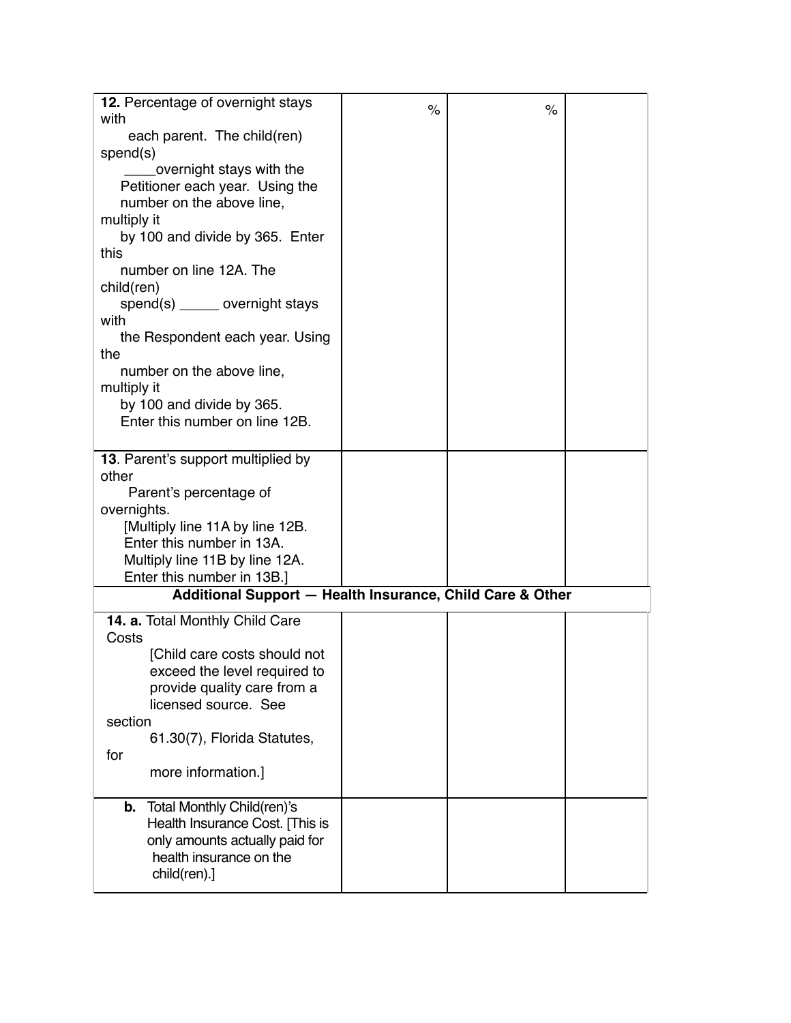| 12. Percentage of overnight stays                           | $\%$ | $\%$ |  |
|-------------------------------------------------------------|------|------|--|
| with                                                        |      |      |  |
| each parent. The child(ren)                                 |      |      |  |
| spend(s)<br>overnight stays with the                        |      |      |  |
| Petitioner each year. Using the                             |      |      |  |
| number on the above line,                                   |      |      |  |
| multiply it                                                 |      |      |  |
| by 100 and divide by 365. Enter                             |      |      |  |
| this                                                        |      |      |  |
| number on line 12A. The                                     |      |      |  |
| child(ren)                                                  |      |      |  |
| $spend(s)$ ______ overnight stays<br>with                   |      |      |  |
| the Respondent each year. Using                             |      |      |  |
| the                                                         |      |      |  |
| number on the above line,                                   |      |      |  |
| multiply it                                                 |      |      |  |
| by 100 and divide by 365.                                   |      |      |  |
| Enter this number on line 12B.                              |      |      |  |
|                                                             |      |      |  |
| 13. Parent's support multiplied by<br>other                 |      |      |  |
| Parent's percentage of                                      |      |      |  |
| overnights.                                                 |      |      |  |
| [Multiply line 11A by line 12B.                             |      |      |  |
| Enter this number in 13A.                                   |      |      |  |
| Multiply line 11B by line 12A.                              |      |      |  |
| Enter this number in 13B.]                                  |      |      |  |
| Additional Support - Health Insurance, Child Care & Other   |      |      |  |
| 14. a. Total Monthly Child Care                             |      |      |  |
| Costs                                                       |      |      |  |
| [Child care costs should not                                |      |      |  |
| exceed the level required to<br>provide quality care from a |      |      |  |
| licensed source. See                                        |      |      |  |
| section                                                     |      |      |  |
| 61.30(7), Florida Statutes,                                 |      |      |  |
| for                                                         |      |      |  |
| more information.]                                          |      |      |  |
| Total Monthly Child(ren)'s<br>b.                            |      |      |  |
| Health Insurance Cost. [This is                             |      |      |  |
| only amounts actually paid for                              |      |      |  |
| health insurance on the                                     |      |      |  |
| $child(ren).$ ]                                             |      |      |  |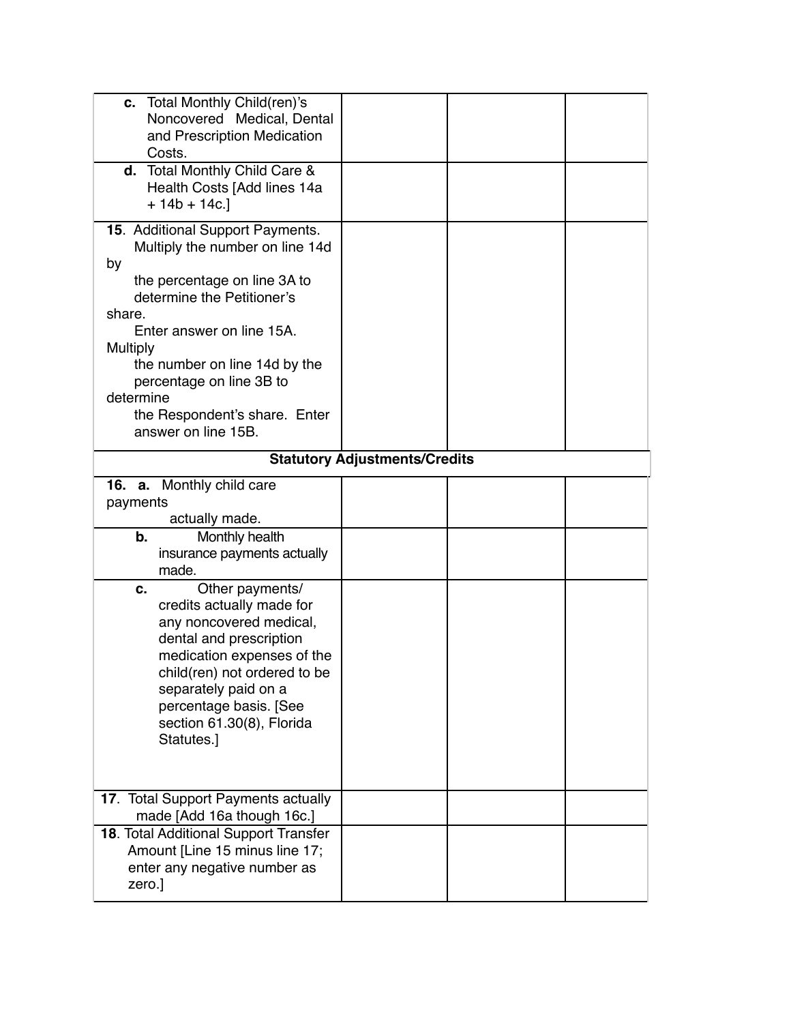| c. Total Monthly Child(ren)'s<br>Noncovered Medical, Dental<br>and Prescription Medication                                                                                                                                                                          |                                      |  |
|---------------------------------------------------------------------------------------------------------------------------------------------------------------------------------------------------------------------------------------------------------------------|--------------------------------------|--|
| Costs.                                                                                                                                                                                                                                                              |                                      |  |
| d. Total Monthly Child Care &<br>Health Costs [Add lines 14a<br>$+ 14b + 14c.$                                                                                                                                                                                      |                                      |  |
| 15. Additional Support Payments.<br>Multiply the number on line 14d<br>by<br>the percentage on line 3A to                                                                                                                                                           |                                      |  |
| determine the Petitioner's<br>share.<br>Enter answer on line 15A.                                                                                                                                                                                                   |                                      |  |
| Multiply<br>the number on line 14d by the<br>percentage on line 3B to                                                                                                                                                                                               |                                      |  |
| determine<br>the Respondent's share. Enter<br>answer on line 15B.                                                                                                                                                                                                   |                                      |  |
|                                                                                                                                                                                                                                                                     | <b>Statutory Adjustments/Credits</b> |  |
| 16. a. Monthly child care<br>payments<br>actually made.                                                                                                                                                                                                             |                                      |  |
| b.<br>Monthly health<br>insurance payments actually<br>made.                                                                                                                                                                                                        |                                      |  |
| Other payments/<br>с.<br>credits actually made for<br>any noncovered medical,<br>dental and prescription<br>medication expenses of the<br>child(ren) not ordered to be<br>separately paid on a<br>percentage basis. [See<br>section 61.30(8), Florida<br>Statutes.] |                                      |  |
| 17. Total Support Payments actually<br>made [Add 16a though 16c.]                                                                                                                                                                                                   |                                      |  |
| 18. Total Additional Support Transfer<br>Amount [Line 15 minus line 17;<br>enter any negative number as<br>zero.]                                                                                                                                                   |                                      |  |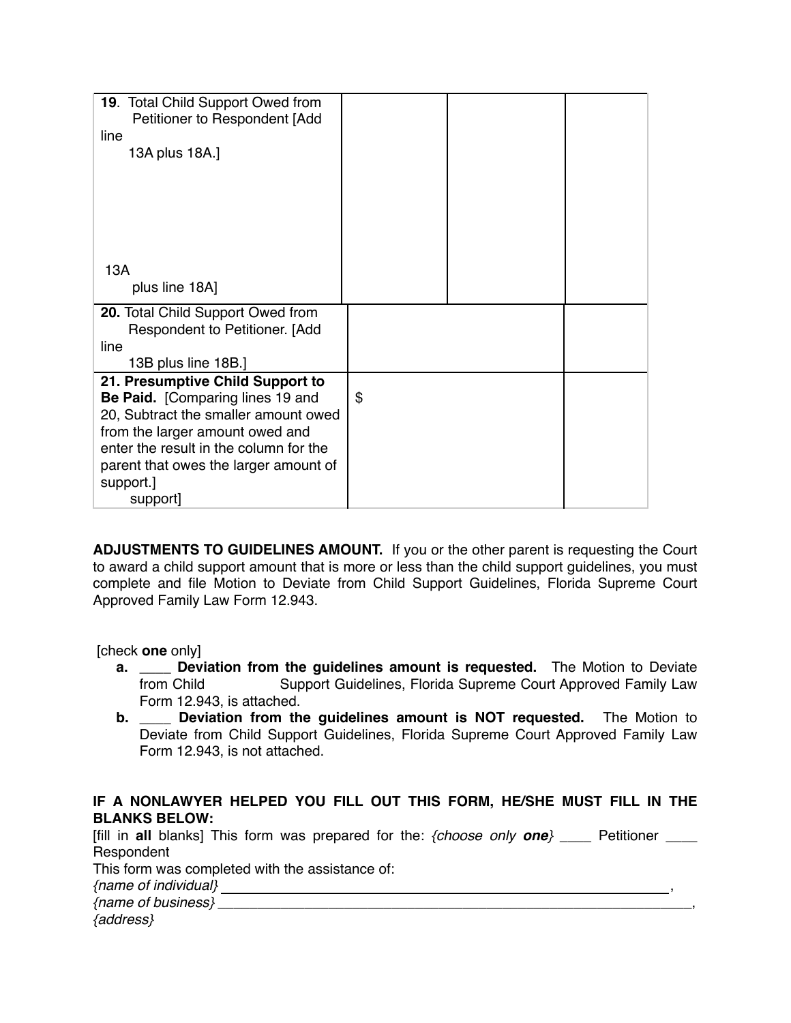| 19. Total Child Support Owed from      |    |
|----------------------------------------|----|
| Petitioner to Respondent [Add          |    |
| line                                   |    |
| 13A plus 18A.]                         |    |
|                                        |    |
|                                        |    |
|                                        |    |
|                                        |    |
|                                        |    |
| 13A                                    |    |
| plus line 18A]                         |    |
|                                        |    |
| 20. Total Child Support Owed from      |    |
| Respondent to Petitioner. [Add<br>line |    |
| 13B plus line 18B.]                    |    |
| 21. Presumptive Child Support to       |    |
| Be Paid. [Comparing lines 19 and       | \$ |
| 20, Subtract the smaller amount owed   |    |
| from the larger amount owed and        |    |
| enter the result in the column for the |    |
| parent that owes the larger amount of  |    |
| support.]                              |    |
| support]                               |    |

**ADJUSTMENTS TO GUIDELINES AMOUNT.** If you or the other parent is requesting the Court to award a child support amount that is more or less than the child support guidelines, you must complete and file Motion to Deviate from Child Support Guidelines, Florida Supreme Court Approved Family Law Form 12.943.

[check **one** only]

- **a. \_\_\_\_ Deviation from the guidelines amount is requested.** The Motion to Deviate from Child Support Guidelines, Florida Supreme Court Approved Family Law Form 12.943, is attached.
- **b. \_\_\_\_ Deviation from the guidelines amount is NOT requested.** The Motion to Deviate from Child Support Guidelines, Florida Supreme Court Approved Family Law Form 12.943, is not attached.

### **IF A NONLAWYER HELPED YOU FILL OUT THIS FORM, HE/SHE MUST FILL IN THE BLANKS BELOW:**

[fill in **all** blanks] This form was prepared for the: *{choose only one}* \_\_\_\_ Petitioner \_\_\_\_ Respondent This form was completed with the assistance of: *{name of individual}* , *{address}*